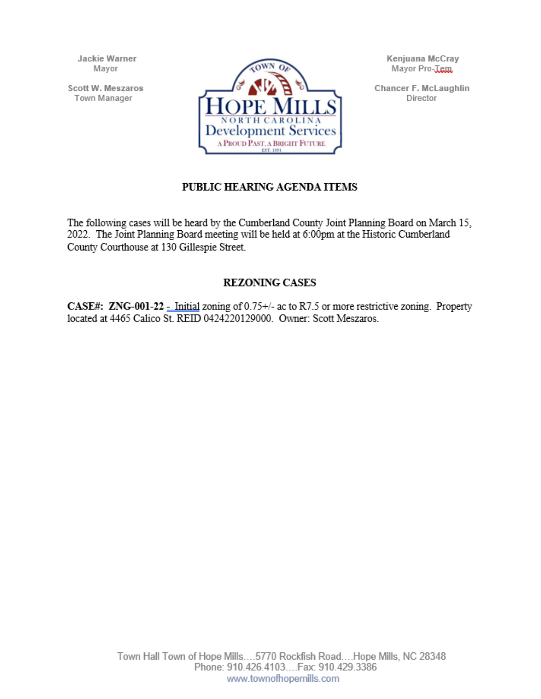Jackie Warner Mavor

Scott W. Meszaros Town Manager



Kenjuana McCray Mayor Pro-Tem.

Chancer F. McLaughlin Director

# PUBLIC HEARING AGENDA ITEMS

The following cases will be heard by the Cumberland County Joint Planning Board on March 15, 2022. The Joint Planning Board meeting will be held at 6:00pm at the Historic Cumberland County Courthouse at 130 Gillespie Street.

# **REZONING CASES**

**CASE#:** ZNG-001-22 - Initial zoning of  $0.75+\frac{1}{2}$  ac to R7.5 or more restrictive zoning. Property located at 4465 Calico St. REID 0424220129000. Owner: Scott Meszaros.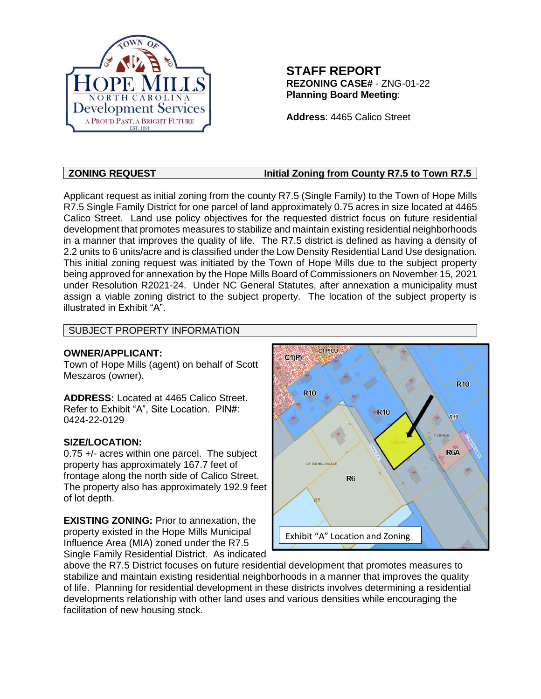

# **STAFF REPORT REZONING CASE#** - ZNG-01-22 **Planning Board Meeting**:

**Address**: 4465 Calico Street

# **ZONING REQUEST** Initial Zoning from County R7.5 to Town R7.5

Applicant request as initial zoning from the county R7.5 (Single Family) to the Town of Hope Mills R7.5 Single Family District for one parcel of land approximately 0.75 acres in size located at 4465 Calico Street. Land use policy objectives for the requested district focus on future residential development that promotes measures to stabilize and maintain existing residential neighborhoods in a manner that improves the quality of life. The R7.5 district is defined as having a density of 2.2 units to 6 units/acre and is classified under the Low Density Residential Land Use designation. This initial zoning request was initiated by the Town of Hope Mills due to the subject property being approved for annexation by the Hope Mills Board of Commissioners on November 15, 2021 under Resolution R2021-24. Under NC General Statutes, after annexation a municipality must assign a viable zoning district to the subject property. The location of the subject property is illustrated in Exhibit "A".

# SUBJECT PROPERTY INFORMATION

### **OWNER/APPLICANT:**

Town of Hope Mills (agent) on behalf of Scott Meszaros (owner).

**ADDRESS:** Located at 4465 Calico Street. Refer to Exhibit "A", Site Location. PIN#: 0424-22-0129

# **SIZE/LOCATION:**

0.75 +/- acres within one parcel. The subject property has approximately 167.7 feet of frontage along the north side of Calico Street. The property also has approximately 192.9 feet of lot depth.

**EXISTING ZONING:** Prior to annexation, the property existed in the Hope Mills Municipal Influence Area (MIA) zoned under the R7.5 Single Family Residential District. As indicated



above the R7.5 District focuses on future residential development that promotes measures to stabilize and maintain existing residential neighborhoods in a manner that improves the quality of life. Planning for residential development in these districts involves determining a residential developments relationship with other land uses and various densities while encouraging the facilitation of new housing stock.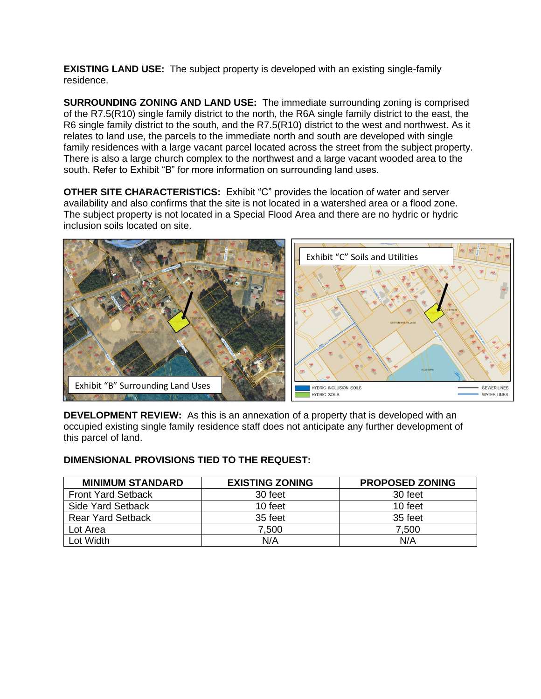**EXISTING LAND USE:** The subject property is developed with an existing single-family residence.

**SURROUNDING ZONING AND LAND USE:** The immediate surrounding zoning is comprised of the R7.5(R10) single family district to the north, the R6A single family district to the east, the R6 single family district to the south, and the R7.5(R10) district to the west and northwest. As it relates to land use, the parcels to the immediate north and south are developed with single family residences with a large vacant parcel located across the street from the subject property. There is also a large church complex to the northwest and a large vacant wooded area to the south. Refer to Exhibit "B" for more information on surrounding land uses.

**OTHER SITE CHARACTERISTICS:** Exhibit "C" provides the location of water and server availability and also confirms that the site is not located in a watershed area or a flood zone. The subject property is not located in a Special Flood Area and there are no hydric or hydric inclusion soils located on site.



**DEVELOPMENT REVIEW:** As this is an annexation of a property that is developed with an occupied existing single family residence staff does not anticipate any further development of this parcel of land.

#### **DIMENSIONAL PROVISIONS TIED TO THE REQUEST:**

| <b>MINIMUM STANDARD</b>   | <b>EXISTING ZONING</b> | <b>PROPOSED ZONING</b> |
|---------------------------|------------------------|------------------------|
| <b>Front Yard Setback</b> | 30 feet                | 30 feet                |
| <b>Side Yard Setback</b>  | 10 feet                | 10 feet                |
| <b>Rear Yard Setback</b>  | 35 feet                | 35 feet                |
| Lot Area                  | 7,500                  | 7,500                  |
| Lot Width                 | N/A                    | N/A                    |